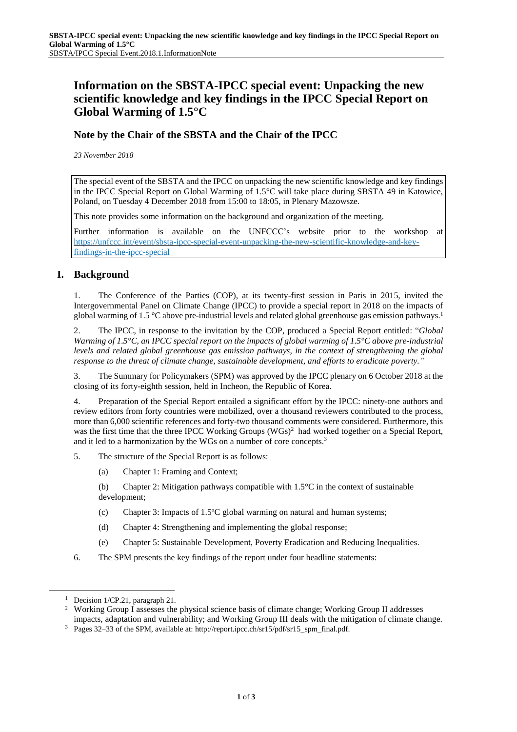# **Information on the SBSTA-IPCC special event: Unpacking the new scientific knowledge and key findings in the IPCC Special Report on Global Warming of 1.5°C**

## **Note by the Chair of the SBSTA and the Chair of the IPCC**

*23 November 2018*

The special event of the SBSTA and the IPCC on unpacking the new scientific knowledge and key findings in the IPCC Special Report on Global Warming of 1.5°C will take place during SBSTA 49 in Katowice, Poland, on Tuesday 4 December 2018 from 15:00 to 18:05, in Plenary Mazowsze.

This note provides some information on the background and organization of the meeting.

Further information is available on the UNFCCC's website prior to the workshop at [https://unfccc.int/event/sbsta-ipcc-special-event-unpacking-the-new-scientific-knowledge-and-key](https://unfccc.int/event/sbsta-ipcc-special-event-unpacking-the-new-scientific-knowledge-and-key-findings-in-the-ipcc-special)[findings-in-the-ipcc-special](https://unfccc.int/event/sbsta-ipcc-special-event-unpacking-the-new-scientific-knowledge-and-key-findings-in-the-ipcc-special)

### **I. Background**

1. The Conference of the Parties (COP), at its twenty-first session in Paris in 2015, invited the Intergovernmental Panel on Climate Change (IPCC) to provide a special report in 2018 on the impacts of global warming of 1.5 °C above pre-industrial levels and related global greenhouse gas emission pathways.<sup>1</sup>

2. The IPCC, in response to the invitation by the COP, produced a Special Report entitled: "*Global Warming of 1.5°C, an IPCC special report on the impacts of global warming of 1.5°C above pre-industrial levels and related global greenhouse gas emission pathways, in the context of strengthening the global response to the threat of climate change, sustainable development, and efforts to eradicate poverty."*

3. The Summary for Policymakers (SPM) was approved by the IPCC plenary on 6 October 2018 at the closing of its forty-eighth session, held in Incheon, the Republic of Korea.

4. Preparation of the Special Report entailed a significant effort by the IPCC: ninety-one authors and review editors from forty countries were mobilized, over a thousand reviewers contributed to the process, more than 6,000 scientific references and forty-two thousand comments were considered. Furthermore, this was the first time that the three IPCC Working Groups  $(WGs)^2$  had worked together on a Special Report, and it led to a harmonization by the WGs on a number of core concepts.<sup>3</sup>

- 5. The structure of the Special Report is as follows:
	- (a) Chapter 1: Framing and Context;

(b) Chapter 2: Mitigation pathways compatible with 1.5°C in the context of sustainable development;

- (c) Chapter 3: Impacts of 1.5ºC global warming on natural and human systems;
- (d) Chapter 4: Strengthening and implementing the global response;
- (e) Chapter 5: Sustainable Development, Poverty Eradication and Reducing Inequalities.
- 6. The SPM presents the key findings of the report under four headline statements:

 $\overline{a}$ 

<sup>&</sup>lt;sup>1</sup> Decision  $1/CP.21$ , paragraph 21.

<sup>&</sup>lt;sup>2</sup> Working Group I assesses the physical science basis of climate change; Working Group II addresses impacts, adaptation and vulnerability; and Working Group III deals with the mitigation of climate change.

<sup>3</sup> Pages 32–33 of the SPM, available at: http://report.ipcc.ch/sr15/pdf/sr15\_spm\_final.pdf.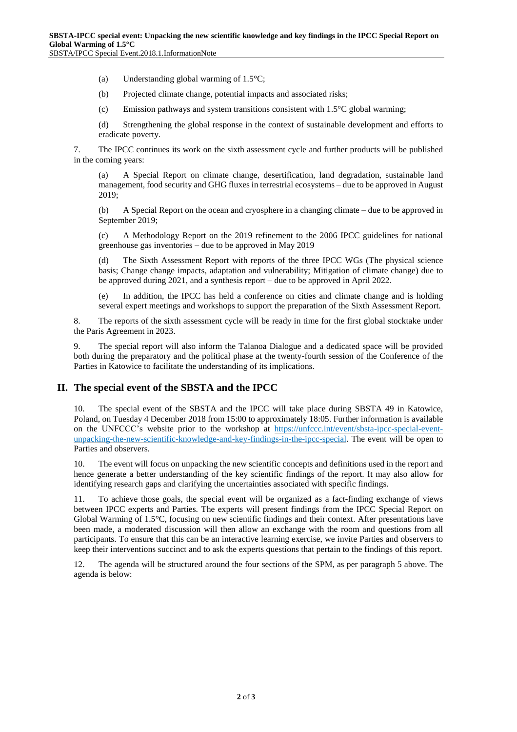(a) Understanding global warming of 1.5°C;

(b) Projected climate change, potential impacts and associated risks;

(c) Emission pathways and system transitions consistent with 1.5°C global warming;

(d) Strengthening the global response in the context of sustainable development and efforts to eradicate poverty.

7. The IPCC continues its work on the sixth assessment cycle and further products will be published in the coming years:

A Special Report on climate change, desertification, land degradation, sustainable land management, food security and GHG fluxes in terrestrial ecosystems – due to be approved in August 2019;

(b) A Special Report on the ocean and cryosphere in a changing climate – due to be approved in September 2019;

(c) A Methodology Report on the 2019 refinement to the 2006 IPCC guidelines for national greenhouse gas inventories – due to be approved in May 2019

(d) The Sixth Assessment Report with reports of the three IPCC WGs (The physical science basis; Change change impacts, adaptation and vulnerability; Mitigation of climate change) due to be approved during 2021, and a synthesis report – due to be approved in April 2022.

(e) In addition, the IPCC has held a conference on cities and climate change and is holding several expert meetings and workshops to support the preparation of the Sixth Assessment Report.

8. The reports of the sixth assessment cycle will be ready in time for the first global stocktake under the Paris Agreement in 2023.

9. The special report will also inform the Talanoa Dialogue and a dedicated space will be provided both during the preparatory and the political phase at the twenty-fourth session of the Conference of the Parties in Katowice to facilitate the understanding of its implications.

#### **II. The special event of the SBSTA and the IPCC**

10. The special event of the SBSTA and the IPCC will take place during SBSTA 49 in Katowice, Poland, on Tuesday 4 December 2018 from 15:00 to approximately 18:05. Further information is available on the UNFCCC's website prior to the workshop at [https://unfccc.int/event/sbsta-ipcc-special-event](https://unfccc.int/event/sbsta-ipcc-special-event-unpacking-the-new-scientific-knowledge-and-key-findings-in-the-ipcc-special)[unpacking-the-new-scientific-knowledge-and-key-findings-in-the-ipcc-special.](https://unfccc.int/event/sbsta-ipcc-special-event-unpacking-the-new-scientific-knowledge-and-key-findings-in-the-ipcc-special) The event will be open to Parties and observers.

10. The event will focus on unpacking the new scientific concepts and definitions used in the report and hence generate a better understanding of the key scientific findings of the report. It may also allow for identifying research gaps and clarifying the uncertainties associated with specific findings.

11. To achieve those goals, the special event will be organized as a fact-finding exchange of views between IPCC experts and Parties. The experts will present findings from the IPCC Special Report on Global Warming of 1.5°C, focusing on new scientific findings and their context. After presentations have been made, a moderated discussion will then allow an exchange with the room and questions from all participants. To ensure that this can be an interactive learning exercise, we invite Parties and observers to keep their interventions succinct and to ask the experts questions that pertain to the findings of this report.

12. The agenda will be structured around the four sections of the SPM, as per paragraph 5 above. The agenda is below: